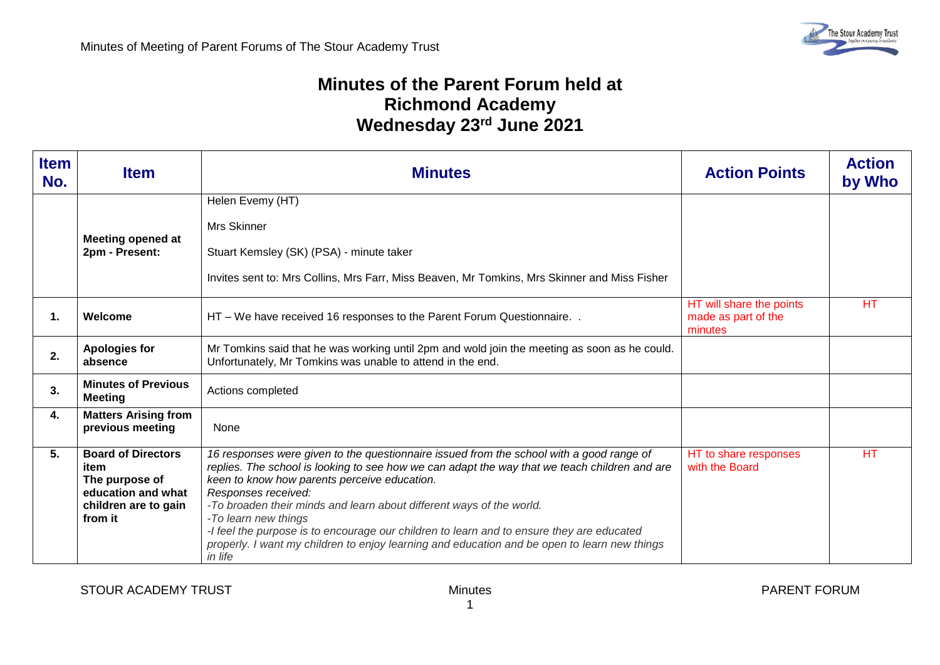## **Minutes of the Parent Forum held at Richmond Academy Wednesday 23rd June 2021**

| <b>Item</b><br>No. | <b>Item</b>                                                                                                  | <b>Minutes</b>                                                                                                                                                                                                                                                                                                                                                                                                                                                                                                                                                           | <b>Action Points</b>                                       | <b>Action</b><br>by Who |
|--------------------|--------------------------------------------------------------------------------------------------------------|--------------------------------------------------------------------------------------------------------------------------------------------------------------------------------------------------------------------------------------------------------------------------------------------------------------------------------------------------------------------------------------------------------------------------------------------------------------------------------------------------------------------------------------------------------------------------|------------------------------------------------------------|-------------------------|
|                    | <b>Meeting opened at</b><br>2pm - Present:                                                                   | Helen Evemy (HT)<br><b>Mrs Skinner</b><br>Stuart Kemsley (SK) (PSA) - minute taker<br>Invites sent to: Mrs Collins, Mrs Farr, Miss Beaven, Mr Tomkins, Mrs Skinner and Miss Fisher                                                                                                                                                                                                                                                                                                                                                                                       |                                                            |                         |
| 1.                 | Welcome                                                                                                      | HT - We have received 16 responses to the Parent Forum Questionnaire. .                                                                                                                                                                                                                                                                                                                                                                                                                                                                                                  | HT will share the points<br>made as part of the<br>minutes | <b>HT</b>               |
| 2.                 | <b>Apologies for</b><br>absence                                                                              | Mr Tomkins said that he was working until 2pm and wold join the meeting as soon as he could.<br>Unfortunately, Mr Tomkins was unable to attend in the end.                                                                                                                                                                                                                                                                                                                                                                                                               |                                                            |                         |
| 3.                 | <b>Minutes of Previous</b><br><b>Meeting</b>                                                                 | Actions completed                                                                                                                                                                                                                                                                                                                                                                                                                                                                                                                                                        |                                                            |                         |
| 4.                 | <b>Matters Arising from</b><br>previous meeting                                                              | None                                                                                                                                                                                                                                                                                                                                                                                                                                                                                                                                                                     |                                                            |                         |
| 5.                 | <b>Board of Directors</b><br>item<br>The purpose of<br>education and what<br>children are to gain<br>from it | 16 responses were given to the questionnaire issued from the school with a good range of<br>replies. The school is looking to see how we can adapt the way that we teach children and are<br>keen to know how parents perceive education.<br>Responses received:<br>-To broaden their minds and learn about different ways of the world.<br>-To learn new things<br>-I feel the purpose is to encourage our children to learn and to ensure they are educated<br>properly. I want my children to enjoy learning and education and be open to learn new things<br>in life | HT to share responses<br>with the Board                    | <b>HT</b>               |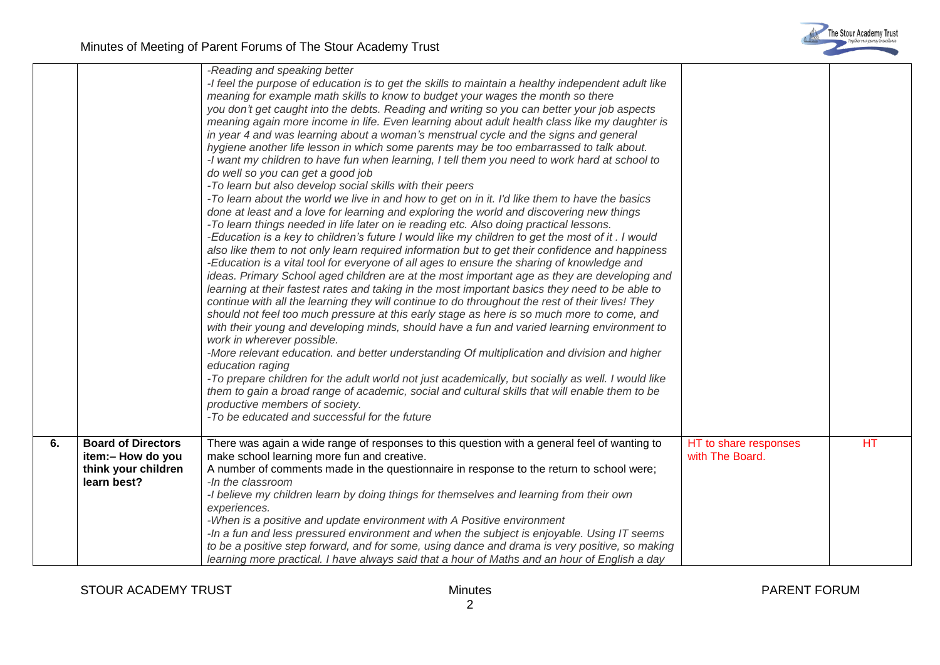

|    |                                                                                      | -Reading and speaking better<br>-I feel the purpose of education is to get the skills to maintain a healthy independent adult like<br>meaning for example math skills to know to budget your wages the month so there<br>you don't get caught into the debts. Reading and writing so you can better your job aspects<br>meaning again more income in life. Even learning about adult health class like my daughter is<br>in year 4 and was learning about a woman's menstrual cycle and the signs and general<br>hygiene another life lesson in which some parents may be too embarrassed to talk about.<br>-I want my children to have fun when learning, I tell them you need to work hard at school to<br>do well so you can get a good job<br>-To learn but also develop social skills with their peers<br>-To learn about the world we live in and how to get on in it. I'd like them to have the basics<br>done at least and a love for learning and exploring the world and discovering new things<br>-To learn things needed in life later on ie reading etc. Also doing practical lessons.<br>-Education is a key to children's future I would like my children to get the most of it . I would<br>also like them to not only learn required information but to get their confidence and happiness<br>-Education is a vital tool for everyone of all ages to ensure the sharing of knowledge and<br>ideas. Primary School aged children are at the most important age as they are developing and<br>learning at their fastest rates and taking in the most important basics they need to be able to<br>continue with all the learning they will continue to do throughout the rest of their lives! They<br>should not feel too much pressure at this early stage as here is so much more to come, and<br>with their young and developing minds, should have a fun and varied learning environment to<br>work in wherever possible.<br>-More relevant education. and better understanding Of multiplication and division and higher<br>education raging<br>-To prepare children for the adult world not just academically, but socially as well. I would like<br>them to gain a broad range of academic, social and cultural skills that will enable them to be<br>productive members of society.<br>-To be educated and successful for the future |                                          |           |
|----|--------------------------------------------------------------------------------------|------------------------------------------------------------------------------------------------------------------------------------------------------------------------------------------------------------------------------------------------------------------------------------------------------------------------------------------------------------------------------------------------------------------------------------------------------------------------------------------------------------------------------------------------------------------------------------------------------------------------------------------------------------------------------------------------------------------------------------------------------------------------------------------------------------------------------------------------------------------------------------------------------------------------------------------------------------------------------------------------------------------------------------------------------------------------------------------------------------------------------------------------------------------------------------------------------------------------------------------------------------------------------------------------------------------------------------------------------------------------------------------------------------------------------------------------------------------------------------------------------------------------------------------------------------------------------------------------------------------------------------------------------------------------------------------------------------------------------------------------------------------------------------------------------------------------------------------------------------------------------------------------------------------------------------------------------------------------------------------------------------------------------------------------------------------------------------------------------------------------------------------------------------------------------------------------------------------------------------------------------------------------------------------------------------------------------------------------------------|------------------------------------------|-----------|
| 6. | <b>Board of Directors</b><br>item:- How do you<br>think your children<br>learn best? | There was again a wide range of responses to this question with a general feel of wanting to<br>make school learning more fun and creative.<br>A number of comments made in the questionnaire in response to the return to school were;<br>-In the classroom<br>-I believe my children learn by doing things for themselves and learning from their own<br>experiences.<br>-When is a positive and update environment with A Positive environment<br>-In a fun and less pressured environment and when the subject is enjoyable. Using IT seems<br>to be a positive step forward, and for some, using dance and drama is very positive, so making<br>learning more practical. I have always said that a hour of Maths and an hour of English a day                                                                                                                                                                                                                                                                                                                                                                                                                                                                                                                                                                                                                                                                                                                                                                                                                                                                                                                                                                                                                                                                                                                                                                                                                                                                                                                                                                                                                                                                                                                                                                                                         | HT to share responses<br>with The Board. | <b>HT</b> |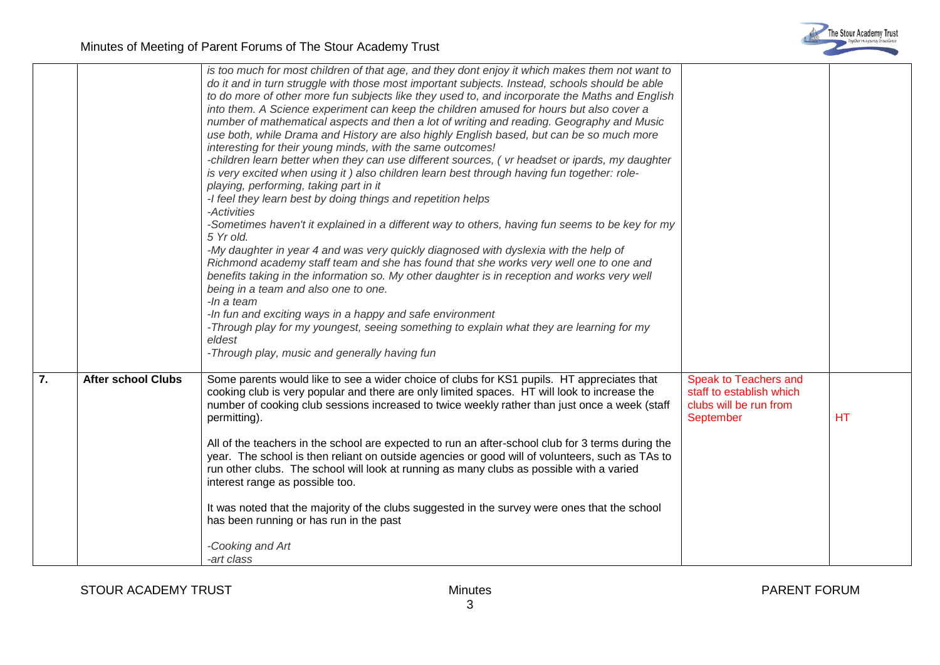|    |                           | is too much for most children of that age, and they dont enjoy it which makes them not want to<br>do it and in turn struggle with those most important subjects. Instead, schools should be able<br>to do more of other more fun subjects like they used to, and incorporate the Maths and English<br>into them. A Science experiment can keep the children amused for hours but also cover a<br>number of mathematical aspects and then a lot of writing and reading. Geography and Music<br>use both, while Drama and History are also highly English based, but can be so much more<br>interesting for their young minds, with the same outcomes!<br>-children learn better when they can use different sources, ( vr headset or ipards, my daughter<br>is very excited when using it) also children learn best through having fun together: role-<br>playing, performing, taking part in it<br>-I feel they learn best by doing things and repetition helps<br>-Activities<br>-Sometimes haven't it explained in a different way to others, having fun seems to be key for my<br>5 Yr old.<br>-My daughter in year 4 and was very quickly diagnosed with dyslexia with the help of<br>Richmond academy staff team and she has found that she works very well one to one and<br>benefits taking in the information so. My other daughter is in reception and works very well<br>being in a team and also one to one.<br>-In a team<br>-In fun and exciting ways in a happy and safe environment<br>-Through play for my youngest, seeing something to explain what they are learning for my<br>eldest<br>-Through play, music and generally having fun |                                                                                          |           |
|----|---------------------------|-----------------------------------------------------------------------------------------------------------------------------------------------------------------------------------------------------------------------------------------------------------------------------------------------------------------------------------------------------------------------------------------------------------------------------------------------------------------------------------------------------------------------------------------------------------------------------------------------------------------------------------------------------------------------------------------------------------------------------------------------------------------------------------------------------------------------------------------------------------------------------------------------------------------------------------------------------------------------------------------------------------------------------------------------------------------------------------------------------------------------------------------------------------------------------------------------------------------------------------------------------------------------------------------------------------------------------------------------------------------------------------------------------------------------------------------------------------------------------------------------------------------------------------------------------------------------------------------------------------------------------------------------------------|------------------------------------------------------------------------------------------|-----------|
| 7. | <b>After school Clubs</b> | Some parents would like to see a wider choice of clubs for KS1 pupils. HT appreciates that<br>cooking club is very popular and there are only limited spaces. HT will look to increase the<br>number of cooking club sessions increased to twice weekly rather than just once a week (staff<br>permitting).<br>All of the teachers in the school are expected to run an after-school club for 3 terms during the<br>year. The school is then reliant on outside agencies or good will of volunteers, such as TAs to<br>run other clubs. The school will look at running as many clubs as possible with a varied<br>interest range as possible too.<br>It was noted that the majority of the clubs suggested in the survey were ones that the school<br>has been running or has run in the past<br>-Cooking and Art<br>-art class                                                                                                                                                                                                                                                                                                                                                                                                                                                                                                                                                                                                                                                                                                                                                                                                                          | Speak to Teachers and<br>staff to establish which<br>clubs will be run from<br>September | <b>HT</b> |